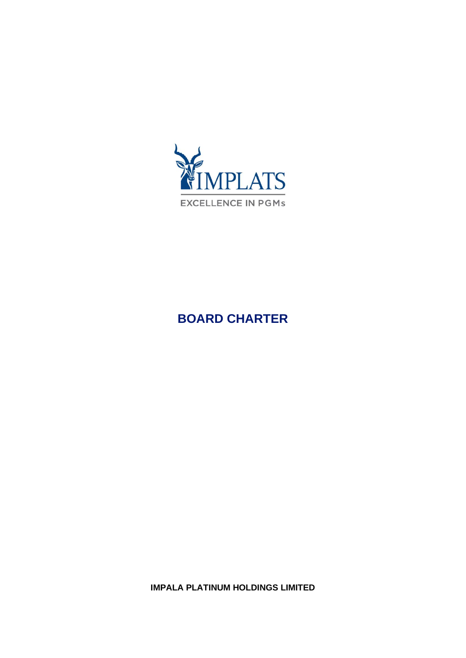

# **BOARD CHARTER**

**IMPALA PLATINUM HOLDINGS LIMITED**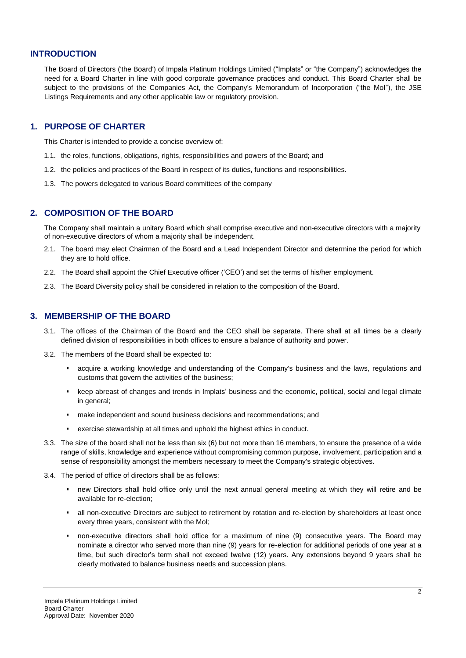#### **INTRODUCTION**

The Board of Directors ('the Board') of Impala Platinum Holdings Limited ("Implats" or "the Company") acknowledges the need for a Board Charter in line with good corporate governance practices and conduct. This Board Charter shall be subject to the provisions of the Companies Act, the Company's Memorandum of Incorporation ("the MoI"), the JSE Listings Requirements and any other applicable law or regulatory provision.

#### **1. PURPOSE OF CHARTER**

This Charter is intended to provide a concise overview of:

- 1.1. the roles, functions, obligations, rights, responsibilities and powers of the Board; and
- 1.2. the policies and practices of the Board in respect of its duties, functions and responsibilities.
- 1.3. The powers delegated to various Board committees of the company

#### **2. COMPOSITION OF THE BOARD**

The Company shall maintain a unitary Board which shall comprise executive and non-executive directors with a majority of non-executive directors of whom a majority shall be independent.

- 2.1. The board may elect Chairman of the Board and a Lead Independent Director and determine the period for which they are to hold office.
- 2.2. The Board shall appoint the Chief Executive officer ('CEO') and set the terms of his/her employment.
- 2.3. The Board Diversity policy shall be considered in relation to the composition of the Board.

#### **3. MEMBERSHIP OF THE BOARD**

- 3.1. The offices of the Chairman of the Board and the CEO shall be separate. There shall at all times be a clearly defined division of responsibilities in both offices to ensure a balance of authority and power.
- 3.2. The members of the Board shall be expected to:
	- acquire a working knowledge and understanding of the Company's business and the laws, regulations and customs that govern the activities of the business;
	- keep abreast of changes and trends in Implats' business and the economic, political, social and legal climate in general;
	- make independent and sound business decisions and recommendations; and
	- exercise stewardship at all times and uphold the highest ethics in conduct.
- 3.3. The size of the board shall not be less than six (6) but not more than 16 members, to ensure the presence of a wide range of skills, knowledge and experience without compromising common purpose, involvement, participation and a sense of responsibility amongst the members necessary to meet the Company's strategic objectives.
- 3.4. The period of office of directors shall be as follows:
	- new Directors shall hold office only until the next annual general meeting at which they will retire and be available for re-election;
	- all non-executive Directors are subject to retirement by rotation and re-election by shareholders at least once every three years, consistent with the MoI;
	- non-executive directors shall hold office for a maximum of nine (9) consecutive years. The Board may nominate a director who served more than nine (9) years for re-election for additional periods of one year at a time, but such director's term shall not exceed twelve (12) years. Any extensions beyond 9 years shall be clearly motivated to balance business needs and succession plans.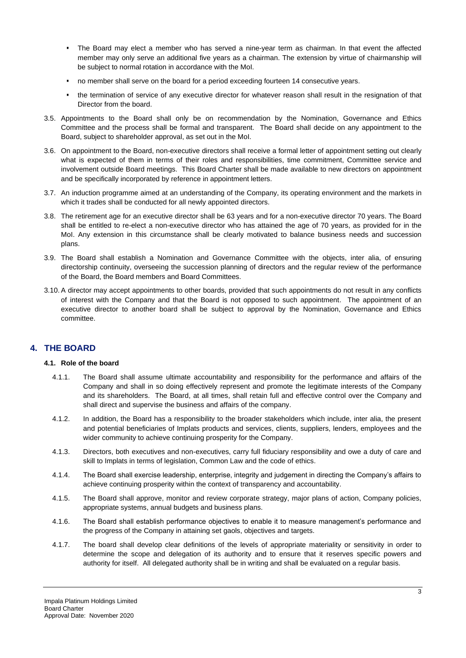- The Board may elect a member who has served a nine-year term as chairman. In that event the affected member may only serve an additional five years as a chairman. The extension by virtue of chairmanship will be subject to normal rotation in accordance with the MoI.
- no member shall serve on the board for a period exceeding fourteen 14 consecutive years.
- the termination of service of any executive director for whatever reason shall result in the resignation of that Director from the board.
- 3.5. Appointments to the Board shall only be on recommendation by the Nomination, Governance and Ethics Committee and the process shall be formal and transparent. The Board shall decide on any appointment to the Board, subject to shareholder approval, as set out in the MoI.
- 3.6. On appointment to the Board, non-executive directors shall receive a formal letter of appointment setting out clearly what is expected of them in terms of their roles and responsibilities, time commitment, Committee service and involvement outside Board meetings. This Board Charter shall be made available to new directors on appointment and be specifically incorporated by reference in appointment letters.
- 3.7. An induction programme aimed at an understanding of the Company, its operating environment and the markets in which it trades shall be conducted for all newly appointed directors.
- 3.8. The retirement age for an executive director shall be 63 years and for a non-executive director 70 years. The Board shall be entitled to re-elect a non-executive director who has attained the age of 70 years, as provided for in the MoI. Any extension in this circumstance shall be clearly motivated to balance business needs and succession plans.
- 3.9. The Board shall establish a Nomination and Governance Committee with the objects, inter alia, of ensuring directorship continuity, overseeing the succession planning of directors and the regular review of the performance of the Board, the Board members and Board Committees.
- 3.10. A director may accept appointments to other boards, provided that such appointments do not result in any conflicts of interest with the Company and that the Board is not opposed to such appointment. The appointment of an executive director to another board shall be subject to approval by the Nomination, Governance and Ethics committee.

# **4. THE BOARD**

#### **4.1. Role of the board**

- 4.1.1. The Board shall assume ultimate accountability and responsibility for the performance and affairs of the Company and shall in so doing effectively represent and promote the legitimate interests of the Company and its shareholders. The Board, at all times, shall retain full and effective control over the Company and shall direct and supervise the business and affairs of the company.
- 4.1.2. In addition, the Board has a responsibility to the broader stakeholders which include, inter alia, the present and potential beneficiaries of Implats products and services, clients, suppliers, lenders, employees and the wider community to achieve continuing prosperity for the Company.
- 4.1.3. Directors, both executives and non-executives, carry full fiduciary responsibility and owe a duty of care and skill to Implats in terms of legislation, Common Law and the code of ethics.
- 4.1.4. The Board shall exercise leadership, enterprise, integrity and judgement in directing the Company's affairs to achieve continuing prosperity within the context of transparency and accountability.
- 4.1.5. The Board shall approve, monitor and review corporate strategy, major plans of action, Company policies, appropriate systems, annual budgets and business plans.
- 4.1.6. The Board shall establish performance objectives to enable it to measure management's performance and the progress of the Company in attaining set gaols, objectives and targets.
- 4.1.7. The board shall develop clear definitions of the levels of appropriate materiality or sensitivity in order to determine the scope and delegation of its authority and to ensure that it reserves specific powers and authority for itself. All delegated authority shall be in writing and shall be evaluated on a regular basis.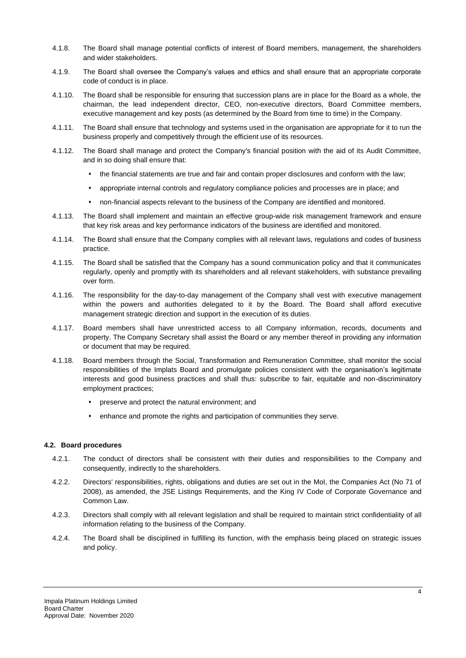- 4.1.8. The Board shall manage potential conflicts of interest of Board members, management, the shareholders and wider stakeholders.
- 4.1.9. The Board shall oversee the Company's values and ethics and shall ensure that an appropriate corporate code of conduct is in place.
- 4.1.10. The Board shall be responsible for ensuring that succession plans are in place for the Board as a whole, the chairman, the lead independent director, CEO, non-executive directors, Board Committee members, executive management and key posts (as determined by the Board from time to time) in the Company.
- 4.1.11. The Board shall ensure that technology and systems used in the organisation are appropriate for it to run the business properly and competitively through the efficient use of its resources.
- 4.1.12. The Board shall manage and protect the Company's financial position with the aid of its Audit Committee, and in so doing shall ensure that:
	- the financial statements are true and fair and contain proper disclosures and conform with the law;
	- appropriate internal controls and regulatory compliance policies and processes are in place; and
	- non-financial aspects relevant to the business of the Company are identified and monitored.
- 4.1.13. The Board shall implement and maintain an effective group-wide risk management framework and ensure that key risk areas and key performance indicators of the business are identified and monitored.
- 4.1.14. The Board shall ensure that the Company complies with all relevant laws, regulations and codes of business practice.
- 4.1.15. The Board shall be satisfied that the Company has a sound communication policy and that it communicates regularly, openly and promptly with its shareholders and all relevant stakeholders, with substance prevailing over form.
- 4.1.16. The responsibility for the day-to-day management of the Company shall vest with executive management within the powers and authorities delegated to it by the Board. The Board shall afford executive management strategic direction and support in the execution of its duties.
- 4.1.17. Board members shall have unrestricted access to all Company information, records, documents and property. The Company Secretary shall assist the Board or any member thereof in providing any information or document that may be required.
- 4.1.18. Board members through the Social, Transformation and Remuneration Committee, shall monitor the social responsibilities of the Implats Board and promulgate policies consistent with the organisation's legitimate interests and good business practices and shall thus: subscribe to fair, equitable and non-discriminatory employment practices;
	- preserve and protect the natural environment; and
	- **•** enhance and promote the rights and participation of communities they serve.

#### **4.2. Board procedures**

- 4.2.1. The conduct of directors shall be consistent with their duties and responsibilities to the Company and consequently, indirectly to the shareholders.
- 4.2.2. Directors' responsibilities, rights, obligations and duties are set out in the MoI, the Companies Act (No 71 of 2008), as amended, the JSE Listings Requirements, and the King IV Code of Corporate Governance and Common Law.
- 4.2.3. Directors shall comply with all relevant legislation and shall be required to maintain strict confidentiality of all information relating to the business of the Company.
- 4.2.4. The Board shall be disciplined in fulfilling its function, with the emphasis being placed on strategic issues and policy.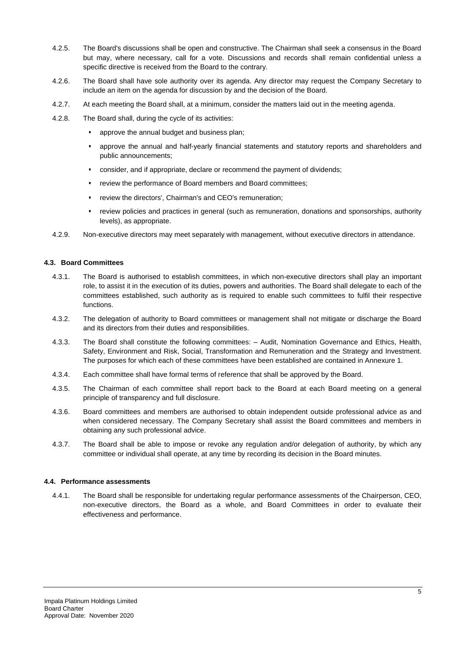- 4.2.5. The Board's discussions shall be open and constructive. The Chairman shall seek a consensus in the Board but may, where necessary, call for a vote. Discussions and records shall remain confidential unless a specific directive is received from the Board to the contrary.
- 4.2.6. The Board shall have sole authority over its agenda. Any director may request the Company Secretary to include an item on the agenda for discussion by and the decision of the Board.
- 4.2.7. At each meeting the Board shall, at a minimum, consider the matters laid out in the meeting agenda.
- 4.2.8. The Board shall, during the cycle of its activities:
	- approve the annual budget and business plan;
	- approve the annual and half-yearly financial statements and statutory reports and shareholders and public announcements;
	- consider, and if appropriate, declare or recommend the payment of dividends;
	- review the performance of Board members and Board committees;
	- review the directors', Chairman's and CEO's remuneration;
	- review policies and practices in general (such as remuneration, donations and sponsorships, authority levels), as appropriate.
- 4.2.9. Non-executive directors may meet separately with management, without executive directors in attendance.

#### **4.3. Board Committees**

- 4.3.1. The Board is authorised to establish committees, in which non-executive directors shall play an important role, to assist it in the execution of its duties, powers and authorities. The Board shall delegate to each of the committees established, such authority as is required to enable such committees to fulfil their respective functions.
- 4.3.2. The delegation of authority to Board committees or management shall not mitigate or discharge the Board and its directors from their duties and responsibilities.
- 4.3.3. The Board shall constitute the following committees: Audit, Nomination Governance and Ethics, Health, Safety, Environment and Risk, Social, Transformation and Remuneration and the Strategy and Investment. The purposes for which each of these committees have been established are contained in Annexure 1.
- 4.3.4. Each committee shall have formal terms of reference that shall be approved by the Board.
- 4.3.5. The Chairman of each committee shall report back to the Board at each Board meeting on a general principle of transparency and full disclosure.
- 4.3.6. Board committees and members are authorised to obtain independent outside professional advice as and when considered necessary. The Company Secretary shall assist the Board committees and members in obtaining any such professional advice.
- 4.3.7. The Board shall be able to impose or revoke any regulation and/or delegation of authority, by which any committee or individual shall operate, at any time by recording its decision in the Board minutes.

#### **4.4. Performance assessments**

4.4.1. The Board shall be responsible for undertaking regular performance assessments of the Chairperson, CEO, non-executive directors, the Board as a whole, and Board Committees in order to evaluate their effectiveness and performance.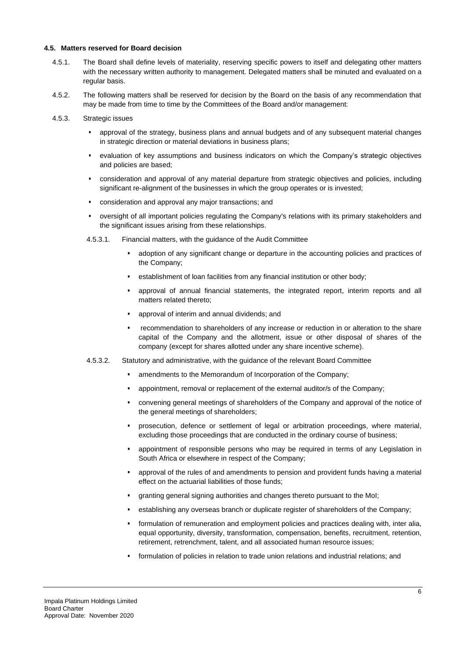#### **4.5. Matters reserved for Board decision**

- 4.5.1. The Board shall define levels of materiality, reserving specific powers to itself and delegating other matters with the necessary written authority to management. Delegated matters shall be minuted and evaluated on a regular basis.
- 4.5.2. The following matters shall be reserved for decision by the Board on the basis of any recommendation that may be made from time to time by the Committees of the Board and/or management:
- 4.5.3. Strategic issues
	- approval of the strategy, business plans and annual budgets and of any subsequent material changes in strategic direction or material deviations in business plans;
	- evaluation of key assumptions and business indicators on which the Company's strategic objectives and policies are based;
	- consideration and approval of any material departure from strategic objectives and policies, including significant re-alignment of the businesses in which the group operates or is invested;
	- consideration and approval any major transactions; and
	- oversight of all important policies regulating the Company's relations with its primary stakeholders and the significant issues arising from these relationships.
	- 4.5.3.1. Financial matters, with the guidance of the Audit Committee
		- adoption of any significant change or departure in the accounting policies and practices of the Company;
		- establishment of loan facilities from any financial institution or other body;
		- approval of annual financial statements, the integrated report, interim reports and all matters related thereto;
		- approval of interim and annual dividends; and
		- recommendation to shareholders of any increase or reduction in or alteration to the share capital of the Company and the allotment, issue or other disposal of shares of the company (except for shares allotted under any share incentive scheme).
	- 4.5.3.2. Statutory and administrative, with the guidance of the relevant Board Committee
		- **EXECT** amendments to the Memorandum of Incorporation of the Company;
		- appointment, removal or replacement of the external auditor/s of the Company;
		- convening general meetings of shareholders of the Company and approval of the notice of the general meetings of shareholders;
		- prosecution, defence or settlement of legal or arbitration proceedings, where material, excluding those proceedings that are conducted in the ordinary course of business;
		- appointment of responsible persons who may be required in terms of any Legislation in South Africa or elsewhere in respect of the Company;
		- approval of the rules of and amendments to pension and provident funds having a material effect on the actuarial liabilities of those funds;
		- granting general signing authorities and changes thereto pursuant to the MoI;
		- establishing any overseas branch or duplicate register of shareholders of the Company;
		- formulation of remuneration and employment policies and practices dealing with, inter alia, equal opportunity, diversity, transformation, compensation, benefits, recruitment, retention, retirement, retrenchment, talent, and all associated human resource issues;
		- formulation of policies in relation to trade union relations and industrial relations; and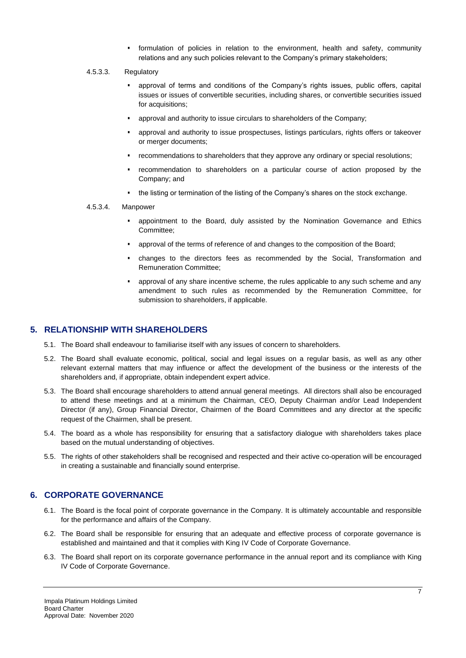▪ formulation of policies in relation to the environment, health and safety, community relations and any such policies relevant to the Company's primary stakeholders;

#### 4.5.3.3. Regulatory

- approval of terms and conditions of the Company's rights issues, public offers, capital issues or issues of convertible securities, including shares, or convertible securities issued for acquisitions;
- approval and authority to issue circulars to shareholders of the Company;
- approval and authority to issue prospectuses, listings particulars, rights offers or takeover or merger documents;
- recommendations to shareholders that they approve any ordinary or special resolutions;
- recommendation to shareholders on a particular course of action proposed by the Company; and
- the listing or termination of the listing of the Company's shares on the stock exchange.
- 4.5.3.4. Manpower
	- appointment to the Board, duly assisted by the Nomination Governance and Ethics Committee;
	- approval of the terms of reference of and changes to the composition of the Board;
	- changes to the directors fees as recommended by the Social, Transformation and Remuneration Committee;
	- approval of any share incentive scheme, the rules applicable to any such scheme and any amendment to such rules as recommended by the Remuneration Committee, for submission to shareholders, if applicable.

#### **5. RELATIONSHIP WITH SHAREHOLDERS**

- 5.1. The Board shall endeavour to familiarise itself with any issues of concern to shareholders.
- 5.2. The Board shall evaluate economic, political, social and legal issues on a regular basis, as well as any other relevant external matters that may influence or affect the development of the business or the interests of the shareholders and, if appropriate, obtain independent expert advice.
- 5.3. The Board shall encourage shareholders to attend annual general meetings. All directors shall also be encouraged to attend these meetings and at a minimum the Chairman, CEO, Deputy Chairman and/or Lead Independent Director (if any), Group Financial Director, Chairmen of the Board Committees and any director at the specific request of the Chairmen, shall be present.
- 5.4. The board as a whole has responsibility for ensuring that a satisfactory dialogue with shareholders takes place based on the mutual understanding of objectives.
- 5.5. The rights of other stakeholders shall be recognised and respected and their active co-operation will be encouraged in creating a sustainable and financially sound enterprise.

# **6. CORPORATE GOVERNANCE**

- 6.1. The Board is the focal point of corporate governance in the Company. It is ultimately accountable and responsible for the performance and affairs of the Company.
- 6.2. The Board shall be responsible for ensuring that an adequate and effective process of corporate governance is established and maintained and that it complies with King IV Code of Corporate Governance.
- 6.3. The Board shall report on its corporate governance performance in the annual report and its compliance with King IV Code of Corporate Governance.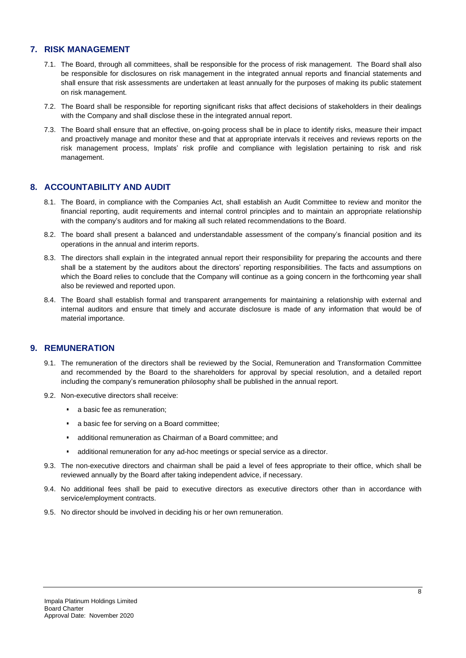# **7. RISK MANAGEMENT**

- 7.1. The Board, through all committees, shall be responsible for the process of risk management. The Board shall also be responsible for disclosures on risk management in the integrated annual reports and financial statements and shall ensure that risk assessments are undertaken at least annually for the purposes of making its public statement on risk management.
- 7.2. The Board shall be responsible for reporting significant risks that affect decisions of stakeholders in their dealings with the Company and shall disclose these in the integrated annual report.
- 7.3. The Board shall ensure that an effective, on-going process shall be in place to identify risks, measure their impact and proactively manage and monitor these and that at appropriate intervals it receives and reviews reports on the risk management process, Implats' risk profile and compliance with legislation pertaining to risk and risk management.

# **8. ACCOUNTABILITY AND AUDIT**

- 8.1. The Board, in compliance with the Companies Act, shall establish an Audit Committee to review and monitor the financial reporting, audit requirements and internal control principles and to maintain an appropriate relationship with the company's auditors and for making all such related recommendations to the Board.
- 8.2. The board shall present a balanced and understandable assessment of the company's financial position and its operations in the annual and interim reports.
- 8.3. The directors shall explain in the integrated annual report their responsibility for preparing the accounts and there shall be a statement by the auditors about the directors' reporting responsibilities. The facts and assumptions on which the Board relies to conclude that the Company will continue as a going concern in the forthcoming year shall also be reviewed and reported upon.
- 8.4. The Board shall establish formal and transparent arrangements for maintaining a relationship with external and internal auditors and ensure that timely and accurate disclosure is made of any information that would be of material importance.

## **9. REMUNERATION**

- 9.1. The remuneration of the directors shall be reviewed by the Social, Remuneration and Transformation Committee and recommended by the Board to the shareholders for approval by special resolution, and a detailed report including the company's remuneration philosophy shall be published in the annual report.
- 9.2. Non-executive directors shall receive:
	- a basic fee as remuneration;
	- a basic fee for serving on a Board committee;
	- additional remuneration as Chairman of a Board committee; and
	- additional remuneration for any ad-hoc meetings or special service as a director.
- 9.3. The non-executive directors and chairman shall be paid a level of fees appropriate to their office, which shall be reviewed annually by the Board after taking independent advice, if necessary.
- 9.4. No additional fees shall be paid to executive directors as executive directors other than in accordance with service/employment contracts.
- 9.5. No director should be involved in deciding his or her own remuneration.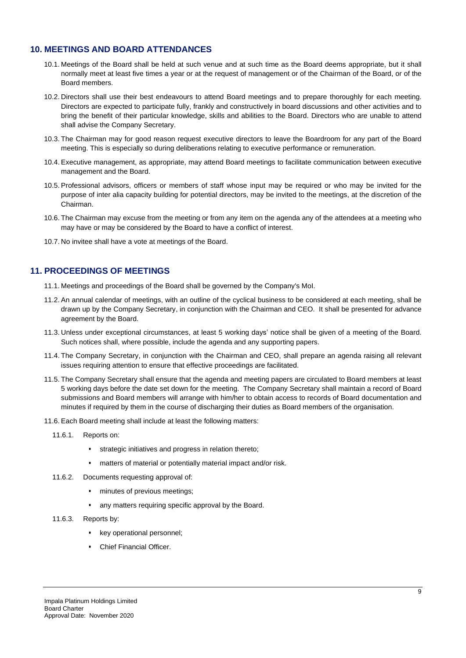# **10. MEETINGS AND BOARD ATTENDANCES**

- 10.1. Meetings of the Board shall be held at such venue and at such time as the Board deems appropriate, but it shall normally meet at least five times a year or at the request of management or of the Chairman of the Board, or of the Board members.
- 10.2. Directors shall use their best endeavours to attend Board meetings and to prepare thoroughly for each meeting. Directors are expected to participate fully, frankly and constructively in board discussions and other activities and to bring the benefit of their particular knowledge, skills and abilities to the Board. Directors who are unable to attend shall advise the Company Secretary.
- 10.3. The Chairman may for good reason request executive directors to leave the Boardroom for any part of the Board meeting. This is especially so during deliberations relating to executive performance or remuneration.
- 10.4. Executive management, as appropriate, may attend Board meetings to facilitate communication between executive management and the Board.
- 10.5. Professional advisors, officers or members of staff whose input may be required or who may be invited for the purpose of inter alia capacity building for potential directors, may be invited to the meetings, at the discretion of the Chairman.
- 10.6. The Chairman may excuse from the meeting or from any item on the agenda any of the attendees at a meeting who may have or may be considered by the Board to have a conflict of interest.
- 10.7. No invitee shall have a vote at meetings of the Board.

## **11. PROCEEDINGS OF MEETINGS**

- 11.1. Meetings and proceedings of the Board shall be governed by the Company's MoI.
- 11.2. An annual calendar of meetings, with an outline of the cyclical business to be considered at each meeting, shall be drawn up by the Company Secretary, in conjunction with the Chairman and CEO. It shall be presented for advance agreement by the Board.
- 11.3. Unless under exceptional circumstances, at least 5 working days' notice shall be given of a meeting of the Board. Such notices shall, where possible, include the agenda and any supporting papers.
- 11.4. The Company Secretary, in conjunction with the Chairman and CEO, shall prepare an agenda raising all relevant issues requiring attention to ensure that effective proceedings are facilitated.
- 11.5. The Company Secretary shall ensure that the agenda and meeting papers are circulated to Board members at least 5 working days before the date set down for the meeting. The Company Secretary shall maintain a record of Board submissions and Board members will arrange with him/her to obtain access to records of Board documentation and minutes if required by them in the course of discharging their duties as Board members of the organisation.
- 11.6. Each Board meeting shall include at least the following matters:
	- 11.6.1. Reports on:
		- **·** strategic initiatives and progress in relation thereto;
		- matters of material or potentially material impact and/or risk.
	- 11.6.2. Documents requesting approval of:
		- **·** minutes of previous meetings;
		- any matters requiring specific approval by the Board.
	- 11.6.3. Reports by:
		- key operational personnel;
		- Chief Financial Officer.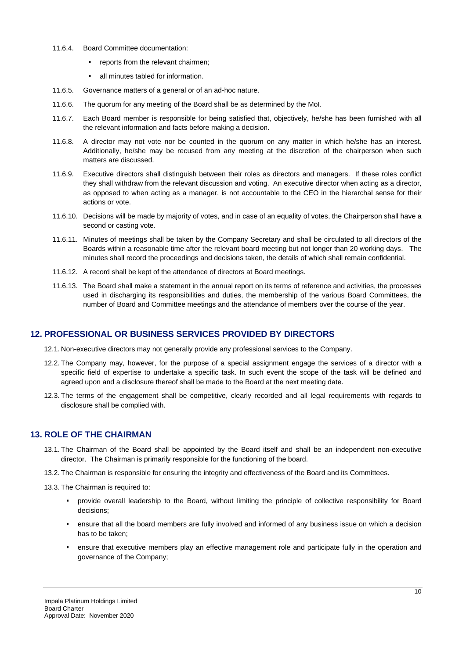- 11.6.4. Board Committee documentation:
	- **•** reports from the relevant chairmen;
	- all minutes tabled for information.
- 11.6.5. Governance matters of a general or of an ad-hoc nature.
- 11.6.6. The quorum for any meeting of the Board shall be as determined by the MoI.
- 11.6.7. Each Board member is responsible for being satisfied that, objectively, he/she has been furnished with all the relevant information and facts before making a decision.
- 11.6.8. A director may not vote nor be counted in the quorum on any matter in which he/she has an interest. Additionally, he/she may be recused from any meeting at the discretion of the chairperson when such matters are discussed.
- 11.6.9. Executive directors shall distinguish between their roles as directors and managers. If these roles conflict they shall withdraw from the relevant discussion and voting. An executive director when acting as a director, as opposed to when acting as a manager, is not accountable to the CEO in the hierarchal sense for their actions or vote.
- 11.6.10. Decisions will be made by majority of votes, and in case of an equality of votes, the Chairperson shall have a second or casting vote.
- 11.6.11. Minutes of meetings shall be taken by the Company Secretary and shall be circulated to all directors of the Boards within a reasonable time after the relevant board meeting but not longer than 20 working days. The minutes shall record the proceedings and decisions taken, the details of which shall remain confidential.
- 11.6.12. A record shall be kept of the attendance of directors at Board meetings.
- 11.6.13. The Board shall make a statement in the annual report on its terms of reference and activities, the processes used in discharging its responsibilities and duties, the membership of the various Board Committees, the number of Board and Committee meetings and the attendance of members over the course of the year.

# **12. PROFESSIONAL OR BUSINESS SERVICES PROVIDED BY DIRECTORS**

- 12.1. Non-executive directors may not generally provide any professional services to the Company.
- 12.2. The Company may, however, for the purpose of a special assignment engage the services of a director with a specific field of expertise to undertake a specific task. In such event the scope of the task will be defined and agreed upon and a disclosure thereof shall be made to the Board at the next meeting date.
- 12.3. The terms of the engagement shall be competitive, clearly recorded and all legal requirements with regards to disclosure shall be complied with.

# **13. ROLE OF THE CHAIRMAN**

- 13.1. The Chairman of the Board shall be appointed by the Board itself and shall be an independent non-executive director. The Chairman is primarily responsible for the functioning of the board.
- 13.2. The Chairman is responsible for ensuring the integrity and effectiveness of the Board and its Committees.
- 13.3. The Chairman is required to:
	- provide overall leadership to the Board, without limiting the principle of collective responsibility for Board decisions;
	- ensure that all the board members are fully involved and informed of any business issue on which a decision has to be taken;
	- ensure that executive members play an effective management role and participate fully in the operation and governance of the Company;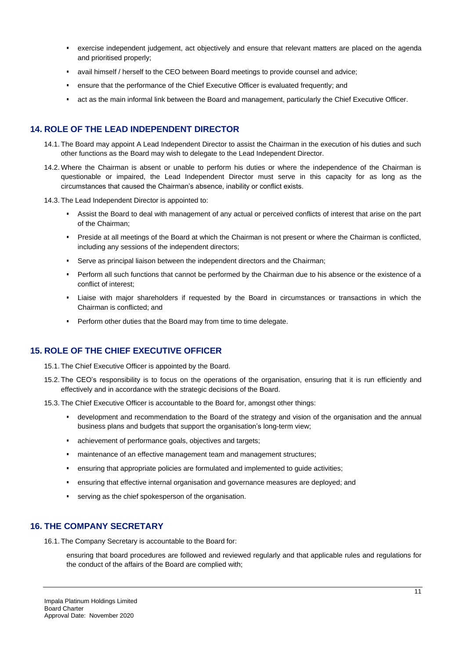- exercise independent judgement, act objectively and ensure that relevant matters are placed on the agenda and prioritised properly;
- avail himself / herself to the CEO between Board meetings to provide counsel and advice;
- ensure that the performance of the Chief Executive Officer is evaluated frequently; and
- act as the main informal link between the Board and management, particularly the Chief Executive Officer.

## **14. ROLE OF THE LEAD INDEPENDENT DIRECTOR**

- 14.1. The Board may appoint A Lead Independent Director to assist the Chairman in the execution of his duties and such other functions as the Board may wish to delegate to the Lead Independent Director.
- 14.2. Where the Chairman is absent or unable to perform his duties or where the independence of the Chairman is questionable or impaired, the Lead Independent Director must serve in this capacity for as long as the circumstances that caused the Chairman's absence, inability or conflict exists.
- 14.3. The Lead Independent Director is appointed to:
	- Assist the Board to deal with management of any actual or perceived conflicts of interest that arise on the part of the Chairman;
	- Preside at all meetings of the Board at which the Chairman is not present or where the Chairman is conflicted, including any sessions of the independent directors;
	- Serve as principal liaison between the independent directors and the Chairman;
	- Perform all such functions that cannot be performed by the Chairman due to his absence or the existence of a conflict of interest;
	- Liaise with major shareholders if requested by the Board in circumstances or transactions in which the Chairman is conflicted; and
	- **•** Perform other duties that the Board may from time to time delegate.

# **15. ROLE OF THE CHIEF EXECUTIVE OFFICER**

- 15.1. The Chief Executive Officer is appointed by the Board.
- 15.2. The CEO's responsibility is to focus on the operations of the organisation, ensuring that it is run efficiently and effectively and in accordance with the strategic decisions of the Board.
- 15.3. The Chief Executive Officer is accountable to the Board for, amongst other things:
	- development and recommendation to the Board of the strategy and vision of the organisation and the annual business plans and budgets that support the organisation's long-term view;
	- achievement of performance goals, objectives and targets;
	- **·** maintenance of an effective management team and management structures;
	- ensuring that appropriate policies are formulated and implemented to guide activities;
	- ensuring that effective internal organisation and governance measures are deployed; and
	- serving as the chief spokesperson of the organisation.

### **16. THE COMPANY SECRETARY**

16.1. The Company Secretary is accountable to the Board for:

ensuring that board procedures are followed and reviewed regularly and that applicable rules and regulations for the conduct of the affairs of the Board are complied with;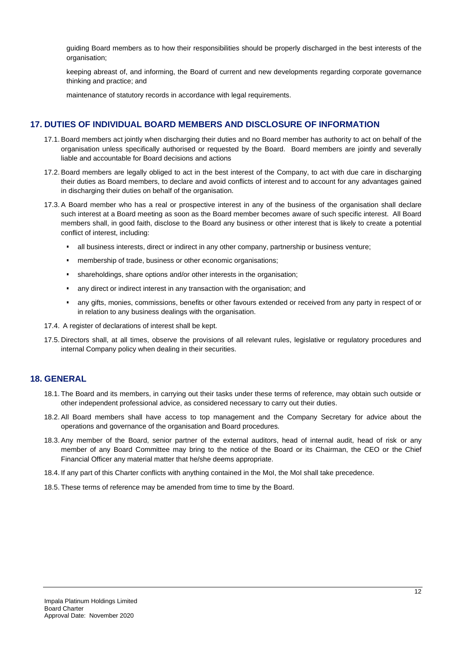guiding Board members as to how their responsibilities should be properly discharged in the best interests of the organisation;

keeping abreast of, and informing, the Board of current and new developments regarding corporate governance thinking and practice; and

maintenance of statutory records in accordance with legal requirements.

## **17. DUTIES OF INDIVIDUAL BOARD MEMBERS AND DISCLOSURE OF INFORMATION**

- 17.1. Board members act jointly when discharging their duties and no Board member has authority to act on behalf of the organisation unless specifically authorised or requested by the Board. Board members are jointly and severally liable and accountable for Board decisions and actions
- 17.2. Board members are legally obliged to act in the best interest of the Company, to act with due care in discharging their duties as Board members, to declare and avoid conflicts of interest and to account for any advantages gained in discharging their duties on behalf of the organisation.
- 17.3. A Board member who has a real or prospective interest in any of the business of the organisation shall declare such interest at a Board meeting as soon as the Board member becomes aware of such specific interest. All Board members shall, in good faith, disclose to the Board any business or other interest that is likely to create a potential conflict of interest, including:
	- <sup>•</sup> all business interests, direct or indirect in any other company, partnership or business venture;
	- **·** membership of trade, business or other economic organisations;
	- shareholdings, share options and/or other interests in the organisation;
	- any direct or indirect interest in any transaction with the organisation; and
	- any gifts, monies, commissions, benefits or other favours extended or received from any party in respect of or in relation to any business dealings with the organisation.
- 17.4. A register of declarations of interest shall be kept.
- 17.5. Directors shall, at all times, observe the provisions of all relevant rules, legislative or regulatory procedures and internal Company policy when dealing in their securities.

# **18. GENERAL**

- 18.1. The Board and its members, in carrying out their tasks under these terms of reference, may obtain such outside or other independent professional advice, as considered necessary to carry out their duties.
- 18.2. All Board members shall have access to top management and the Company Secretary for advice about the operations and governance of the organisation and Board procedures.
- 18.3. Any member of the Board, senior partner of the external auditors, head of internal audit, head of risk or any member of any Board Committee may bring to the notice of the Board or its Chairman, the CEO or the Chief Financial Officer any material matter that he/she deems appropriate.
- 18.4. If any part of this Charter conflicts with anything contained in the MoI, the MoI shall take precedence.
- 18.5. These terms of reference may be amended from time to time by the Board.